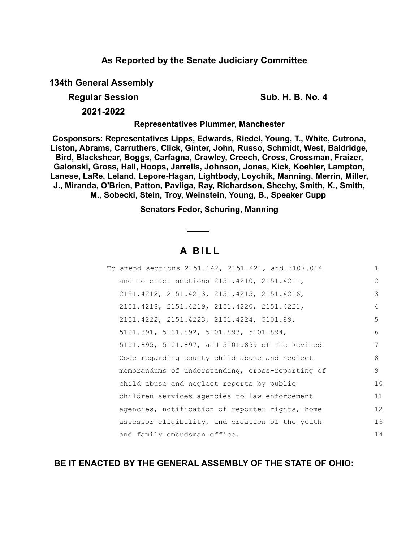# **As Reported by the Senate Judiciary Committee**

**134th General Assembly**

**Regular Session Sub. H. B. No. 4**

**2021-2022**

**Representatives Plummer, Manchester**

**Cosponsors: Representatives Lipps, Edwards, Riedel, Young, T., White, Cutrona, Liston, Abrams, Carruthers, Click, Ginter, John, Russo, Schmidt, West, Baldridge, Bird, Blackshear, Boggs, Carfagna, Crawley, Creech, Cross, Crossman, Fraizer, Galonski, Gross, Hall, Hoops, Jarrells, Johnson, Jones, Kick, Koehler, Lampton, Lanese, LaRe, Leland, Lepore-Hagan, Lightbody, Loychik, Manning, Merrin, Miller, J., Miranda, O'Brien, Patton, Pavliga, Ray, Richardson, Sheehy, Smith, K., Smith, M., Sobecki, Stein, Troy, Weinstein, Young, B., Speaker Cupp** 

### **Senators Fedor, Schuring, Manning**

# **A B I L L**

| To amend sections 2151.142, 2151.421, and 3107.014 | $\mathbf{1}$   |
|----------------------------------------------------|----------------|
| and to enact sections 2151.4210, 2151.4211,        | $\overline{2}$ |
| 2151.4212, 2151.4213, 2151.4215, 2151.4216,        | 3              |
| 2151.4218, 2151.4219, 2151.4220, 2151.4221,        | $\overline{A}$ |
| 2151.4222, 2151.4223, 2151.4224, 5101.89,          | 5              |
| 5101.891, 5101.892, 5101.893, 5101.894,            | 6              |
| 5101.895, 5101.897, and 5101.899 of the Revised    | 7              |
| Code regarding county child abuse and neglect      | 8              |
| memorandums of understanding, cross-reporting of   | 9              |
| child abuse and neglect reports by public          | 10             |
| children services agencies to law enforcement      | 11             |
| agencies, notification of reporter rights, home    | 12             |
| assessor eligibility, and creation of the youth    | 13             |
| and family ombudsman office.                       | 14             |

**BE IT ENACTED BY THE GENERAL ASSEMBLY OF THE STATE OF OHIO:**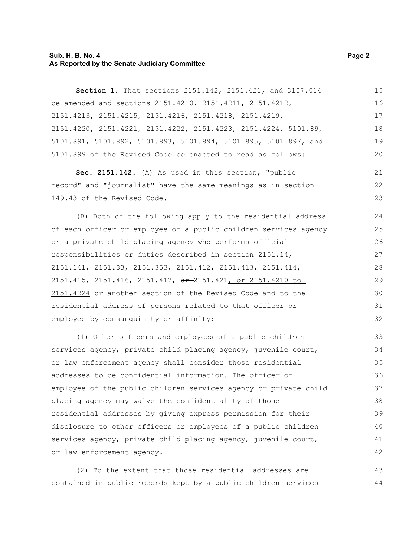### **Sub. H. B. No. 4 Page 2 Page 2 Page 2 Page 2 Page 2 Page 2 Page 2 Page 2 As Reported by the Senate Judiciary Committee**

**Section 1.** That sections 2151.142, 2151.421, and 3107.014 be amended and sections 2151.4210, 2151.4211, 2151.4212, 2151.4213, 2151.4215, 2151.4216, 2151.4218, 2151.4219, 2151.4220, 2151.4221, 2151.4222, 2151.4223, 2151.4224, 5101.89, 5101.891, 5101.892, 5101.893, 5101.894, 5101.895, 5101.897, and 5101.899 of the Revised Code be enacted to read as follows: 15 16 17 18 19 20

**Sec. 2151.142.** (A) As used in this section, "public record" and "journalist" have the same meanings as in section 149.43 of the Revised Code. 21 22 23

(B) Both of the following apply to the residential address of each officer or employee of a public children services agency or a private child placing agency who performs official responsibilities or duties described in section 2151.14, 2151.141, 2151.33, 2151.353, 2151.412, 2151.413, 2151.414, 2151.415, 2151.416, 2151.417, or 2151.421, or 2151.4210 to 2151.4224 or another section of the Revised Code and to the residential address of persons related to that officer or employee by consanguinity or affinity: 24 25 26 27 28 29 30 31 32

(1) Other officers and employees of a public children services agency, private child placing agency, juvenile court, or law enforcement agency shall consider those residential addresses to be confidential information. The officer or employee of the public children services agency or private child placing agency may waive the confidentiality of those residential addresses by giving express permission for their disclosure to other officers or employees of a public children services agency, private child placing agency, juvenile court, or law enforcement agency. 33 34 35 36 37 38 39 40 41 42

(2) To the extent that those residential addresses are contained in public records kept by a public children services 43 44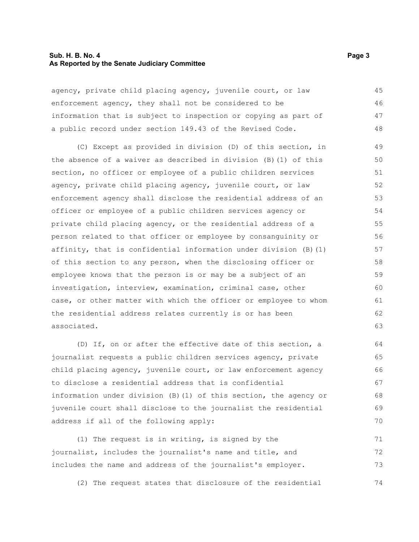#### **Sub. H. B. No. 4 Page 3 As Reported by the Senate Judiciary Committee**

agency, private child placing agency, juvenile court, or law enforcement agency, they shall not be considered to be information that is subject to inspection or copying as part of a public record under section 149.43 of the Revised Code. 45 46 47 48

(C) Except as provided in division (D) of this section, in the absence of a waiver as described in division (B)(1) of this section, no officer or employee of a public children services agency, private child placing agency, juvenile court, or law enforcement agency shall disclose the residential address of an officer or employee of a public children services agency or private child placing agency, or the residential address of a person related to that officer or employee by consanguinity or affinity, that is confidential information under division (B)(1) of this section to any person, when the disclosing officer or employee knows that the person is or may be a subject of an investigation, interview, examination, criminal case, other case, or other matter with which the officer or employee to whom the residential address relates currently is or has been associated. 49 50 51 52 53 54 55 56 57 58 59 60 61 62 63

(D) If, on or after the effective date of this section, a journalist requests a public children services agency, private child placing agency, juvenile court, or law enforcement agency to disclose a residential address that is confidential information under division (B)(1) of this section, the agency or juvenile court shall disclose to the journalist the residential address if all of the following apply: 64 65 66 67 68 69 70

(1) The request is in writing, is signed by the journalist, includes the journalist's name and title, and includes the name and address of the journalist's employer. 71 72 73

(2) The request states that disclosure of the residential 74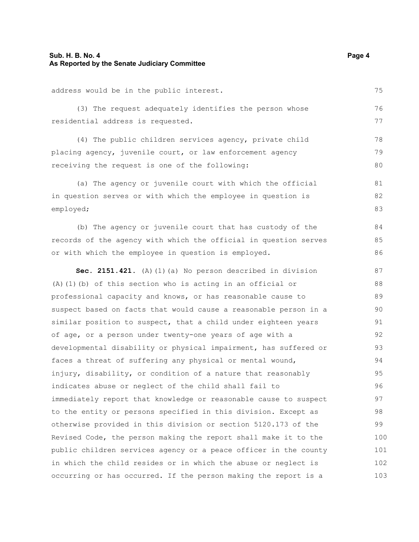### **Sub. H. B. No. 4 Page 4 Page 4 Page 4 Page 4 Page 4 Page 4 Page 4 Page 4 As Reported by the Senate Judiciary Committee**

address would be in the public interest. (3) The request adequately identifies the person whose residential address is requested. (4) The public children services agency, private child placing agency, juvenile court, or law enforcement agency receiving the request is one of the following: (a) The agency or juvenile court with which the official

in question serves or with which the employee in question is employed; 81 82 83

(b) The agency or juvenile court that has custody of the records of the agency with which the official in question serves or with which the employee in question is employed.

**Sec. 2151.421.** (A)(1)(a) No person described in division (A)(1)(b) of this section who is acting in an official or professional capacity and knows, or has reasonable cause to suspect based on facts that would cause a reasonable person in a similar position to suspect, that a child under eighteen years of age, or a person under twenty-one years of age with a developmental disability or physical impairment, has suffered or faces a threat of suffering any physical or mental wound, injury, disability, or condition of a nature that reasonably indicates abuse or neglect of the child shall fail to immediately report that knowledge or reasonable cause to suspect to the entity or persons specified in this division. Except as otherwise provided in this division or section 5120.173 of the Revised Code, the person making the report shall make it to the public children services agency or a peace officer in the county in which the child resides or in which the abuse or neglect is occurring or has occurred. If the person making the report is a 87 88 89 90 91 92 93 94 95 96 97 98 99 100 101 102 103

75

76 77

78 79 80

84 85 86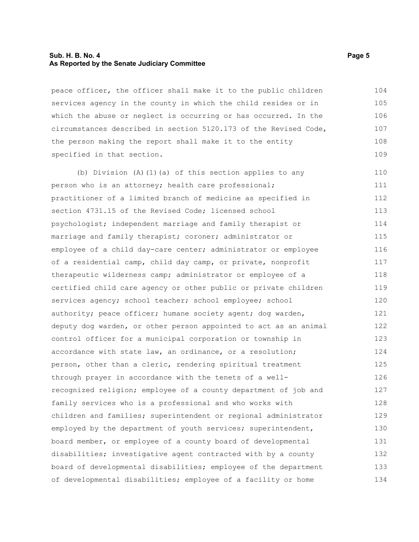#### **Sub. H. B. No. 4** Page 5 **As Reported by the Senate Judiciary Committee**

peace officer, the officer shall make it to the public children services agency in the county in which the child resides or in which the abuse or neglect is occurring or has occurred. In the circumstances described in section 5120.173 of the Revised Code, the person making the report shall make it to the entity specified in that section. 104 105 106 107 108 109

(b) Division (A)(1)(a) of this section applies to any person who is an attorney; health care professional; practitioner of a limited branch of medicine as specified in section 4731.15 of the Revised Code; licensed school psychologist; independent marriage and family therapist or marriage and family therapist; coroner; administrator or employee of a child day-care center; administrator or employee of a residential camp, child day camp, or private, nonprofit therapeutic wilderness camp; administrator or employee of a certified child care agency or other public or private children services agency; school teacher; school employee; school authority; peace officer; humane society agent; dog warden, deputy dog warden, or other person appointed to act as an animal control officer for a municipal corporation or township in accordance with state law, an ordinance, or a resolution; person, other than a cleric, rendering spiritual treatment through prayer in accordance with the tenets of a wellrecognized religion; employee of a county department of job and family services who is a professional and who works with children and families; superintendent or regional administrator employed by the department of youth services; superintendent, board member, or employee of a county board of developmental disabilities; investigative agent contracted with by a county board of developmental disabilities; employee of the department of developmental disabilities; employee of a facility or home 110 111 112 113 114 115 116 117 118 119 120 121 122 123 124 125 126 127 128 129 130 131 132 133 134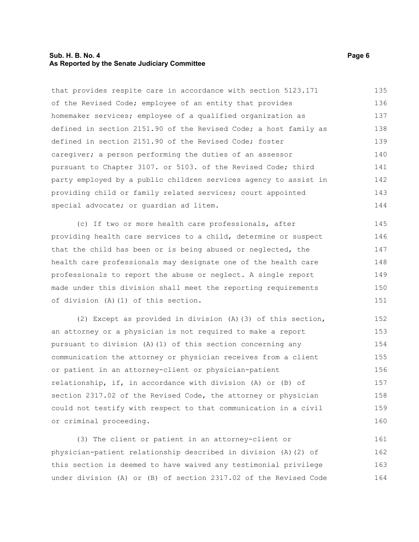#### **Sub. H. B. No. 4 Page 6 As Reported by the Senate Judiciary Committee**

that provides respite care in accordance with section 5123.171 of the Revised Code; employee of an entity that provides homemaker services; employee of a qualified organization as defined in section 2151.90 of the Revised Code; a host family as defined in section 2151.90 of the Revised Code; foster caregiver; a person performing the duties of an assessor pursuant to Chapter 3107. or 5103. of the Revised Code; third party employed by a public children services agency to assist in providing child or family related services; court appointed special advocate; or guardian ad litem. 135 136 137 138 139 140 141 142 143 144

(c) If two or more health care professionals, after providing health care services to a child, determine or suspect that the child has been or is being abused or neglected, the health care professionals may designate one of the health care professionals to report the abuse or neglect. A single report made under this division shall meet the reporting requirements of division (A)(1) of this section. 145 146 147 148 149 150 151

(2) Except as provided in division (A)(3) of this section, an attorney or a physician is not required to make a report pursuant to division (A)(1) of this section concerning any communication the attorney or physician receives from a client or patient in an attorney-client or physician-patient relationship, if, in accordance with division (A) or (B) of section 2317.02 of the Revised Code, the attorney or physician could not testify with respect to that communication in a civil or criminal proceeding. 152 153 154 155 156 157 158 159 160

(3) The client or patient in an attorney-client or physician-patient relationship described in division (A)(2) of this section is deemed to have waived any testimonial privilege under division (A) or (B) of section 2317.02 of the Revised Code 161 162 163 164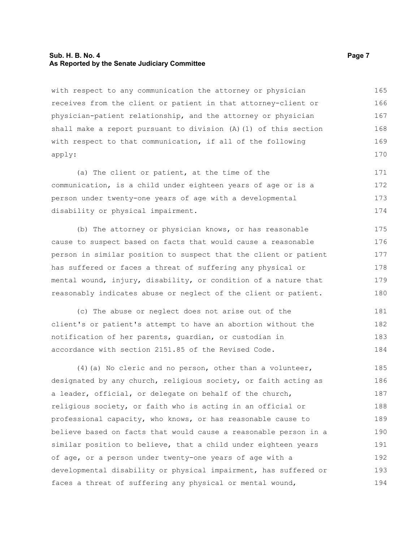#### **Sub. H. B. No. 4 Page 7 Page 7 Page 7 Page 7 Page 7 Page 7 Page 7 Page 7 Page 7 Page 7 Page 7 As Reported by the Senate Judiciary Committee**

with respect to any communication the attorney or physician receives from the client or patient in that attorney-client or physician-patient relationship, and the attorney or physician shall make a report pursuant to division (A)(1) of this section with respect to that communication, if all of the following apply: 165 166 167 168 169 170

(a) The client or patient, at the time of the communication, is a child under eighteen years of age or is a person under twenty-one years of age with a developmental disability or physical impairment. 171 172 173 174

(b) The attorney or physician knows, or has reasonable cause to suspect based on facts that would cause a reasonable person in similar position to suspect that the client or patient has suffered or faces a threat of suffering any physical or mental wound, injury, disability, or condition of a nature that reasonably indicates abuse or neglect of the client or patient. 175 176 177 178 179 180

(c) The abuse or neglect does not arise out of the client's or patient's attempt to have an abortion without the notification of her parents, guardian, or custodian in accordance with section 2151.85 of the Revised Code. 181 182 183 184

(4)(a) No cleric and no person, other than a volunteer, designated by any church, religious society, or faith acting as a leader, official, or delegate on behalf of the church, religious society, or faith who is acting in an official or professional capacity, who knows, or has reasonable cause to believe based on facts that would cause a reasonable person in a similar position to believe, that a child under eighteen years of age, or a person under twenty-one years of age with a developmental disability or physical impairment, has suffered or faces a threat of suffering any physical or mental wound, 185 186 187 188 189 190 191 192 193 194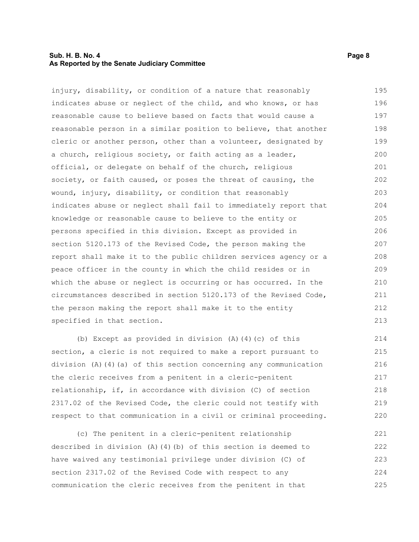#### **Sub. H. B. No. 4 Page 8 As Reported by the Senate Judiciary Committee**

injury, disability, or condition of a nature that reasonably indicates abuse or neglect of the child, and who knows, or has reasonable cause to believe based on facts that would cause a reasonable person in a similar position to believe, that another cleric or another person, other than a volunteer, designated by a church, religious society, or faith acting as a leader, official, or delegate on behalf of the church, religious society, or faith caused, or poses the threat of causing, the wound, injury, disability, or condition that reasonably indicates abuse or neglect shall fail to immediately report that knowledge or reasonable cause to believe to the entity or persons specified in this division. Except as provided in section 5120.173 of the Revised Code, the person making the report shall make it to the public children services agency or a peace officer in the county in which the child resides or in which the abuse or neglect is occurring or has occurred. In the circumstances described in section 5120.173 of the Revised Code, the person making the report shall make it to the entity specified in that section. 195 196 197 198 199 200 201 202 203 204 205 206 207 208 209 210 211 212 213

(b) Except as provided in division (A)(4)(c) of this section, a cleric is not required to make a report pursuant to division (A)(4)(a) of this section concerning any communication the cleric receives from a penitent in a cleric-penitent relationship, if, in accordance with division (C) of section 2317.02 of the Revised Code, the cleric could not testify with respect to that communication in a civil or criminal proceeding. 214 215 216 217 218 219 220

(c) The penitent in a cleric-penitent relationship described in division (A)(4)(b) of this section is deemed to have waived any testimonial privilege under division (C) of section 2317.02 of the Revised Code with respect to any communication the cleric receives from the penitent in that 221 222 223 224 225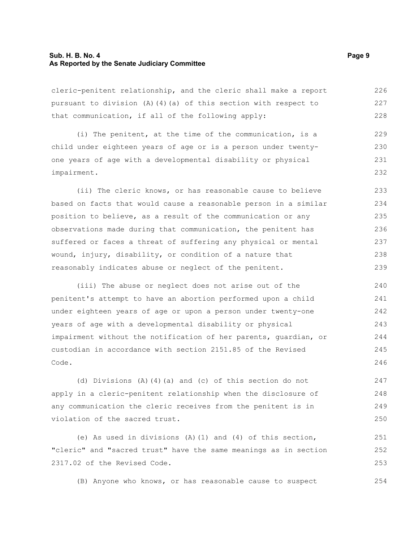#### **Sub. H. B. No. 4 Page 9 As Reported by the Senate Judiciary Committee**

cleric-penitent relationship, and the cleric shall make a report pursuant to division  $(A)$   $(4)$   $(a)$  of this section with respect to that communication, if all of the following apply: 226 227 228

(i) The penitent, at the time of the communication, is a child under eighteen years of age or is a person under twentyone years of age with a developmental disability or physical impairment. 229 230 231 232

(ii) The cleric knows, or has reasonable cause to believe based on facts that would cause a reasonable person in a similar position to believe, as a result of the communication or any observations made during that communication, the penitent has suffered or faces a threat of suffering any physical or mental wound, injury, disability, or condition of a nature that reasonably indicates abuse or neglect of the penitent. 233 234 235 236 237 238 239

(iii) The abuse or neglect does not arise out of the penitent's attempt to have an abortion performed upon a child under eighteen years of age or upon a person under twenty-one years of age with a developmental disability or physical impairment without the notification of her parents, guardian, or custodian in accordance with section 2151.85 of the Revised Code. 240 241 242 243 244 245 246

(d) Divisions (A)(4)(a) and (c) of this section do not apply in a cleric-penitent relationship when the disclosure of any communication the cleric receives from the penitent is in violation of the sacred trust. 247 248 249 250

(e) As used in divisions (A)(1) and (4) of this section, "cleric" and "sacred trust" have the same meanings as in section 2317.02 of the Revised Code. 251 252 253

(B) Anyone who knows, or has reasonable cause to suspect

254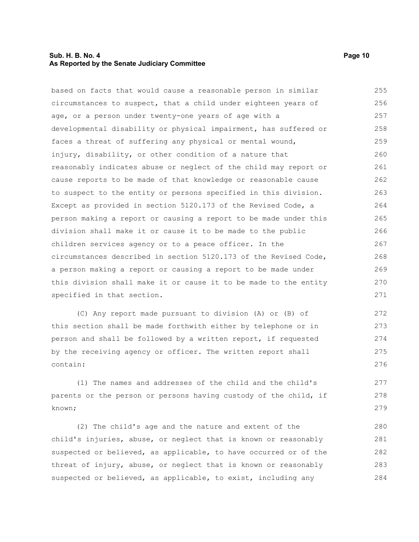#### **Sub. H. B. No. 4 Page 10 As Reported by the Senate Judiciary Committee**

based on facts that would cause a reasonable person in similar circumstances to suspect, that a child under eighteen years of age, or a person under twenty-one years of age with a developmental disability or physical impairment, has suffered or faces a threat of suffering any physical or mental wound, injury, disability, or other condition of a nature that reasonably indicates abuse or neglect of the child may report or cause reports to be made of that knowledge or reasonable cause to suspect to the entity or persons specified in this division. Except as provided in section 5120.173 of the Revised Code, a person making a report or causing a report to be made under this division shall make it or cause it to be made to the public children services agency or to a peace officer. In the circumstances described in section 5120.173 of the Revised Code, a person making a report or causing a report to be made under this division shall make it or cause it to be made to the entity specified in that section. 255 256 257 258 259 260 261 262 263 264 265 266 267 268 269 270 271

(C) Any report made pursuant to division (A) or (B) of this section shall be made forthwith either by telephone or in person and shall be followed by a written report, if requested by the receiving agency or officer. The written report shall contain: 272 273 274 275 276

(1) The names and addresses of the child and the child's parents or the person or persons having custody of the child, if known; 277 278 279

(2) The child's age and the nature and extent of the child's injuries, abuse, or neglect that is known or reasonably suspected or believed, as applicable, to have occurred or of the threat of injury, abuse, or neglect that is known or reasonably suspected or believed, as applicable, to exist, including any 280 281 282 283 284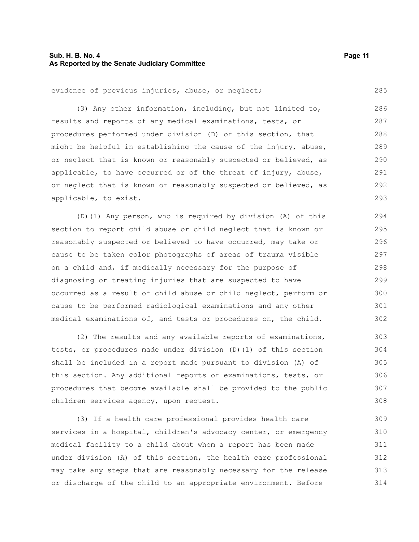### **Sub. H. B. No. 4 Page 11 As Reported by the Senate Judiciary Committee**

#### evidence of previous injuries, abuse, or neglect;

(3) Any other information, including, but not limited to, results and reports of any medical examinations, tests, or procedures performed under division (D) of this section, that might be helpful in establishing the cause of the injury, abuse, or neglect that is known or reasonably suspected or believed, as applicable, to have occurred or of the threat of injury, abuse, or neglect that is known or reasonably suspected or believed, as applicable, to exist. 286 287 288 289 290 291 292 293

(D)(1) Any person, who is required by division (A) of this section to report child abuse or child neglect that is known or reasonably suspected or believed to have occurred, may take or cause to be taken color photographs of areas of trauma visible on a child and, if medically necessary for the purpose of diagnosing or treating injuries that are suspected to have occurred as a result of child abuse or child neglect, perform or cause to be performed radiological examinations and any other medical examinations of, and tests or procedures on, the child. 294 295 296 297 298 299 300 301 302

(2) The results and any available reports of examinations, tests, or procedures made under division (D)(1) of this section shall be included in a report made pursuant to division (A) of this section. Any additional reports of examinations, tests, or procedures that become available shall be provided to the public children services agency, upon request. 303 304 305 306 307 308

(3) If a health care professional provides health care services in a hospital, children's advocacy center, or emergency medical facility to a child about whom a report has been made under division (A) of this section, the health care professional may take any steps that are reasonably necessary for the release or discharge of the child to an appropriate environment. Before 309 310 311 312 313 314

285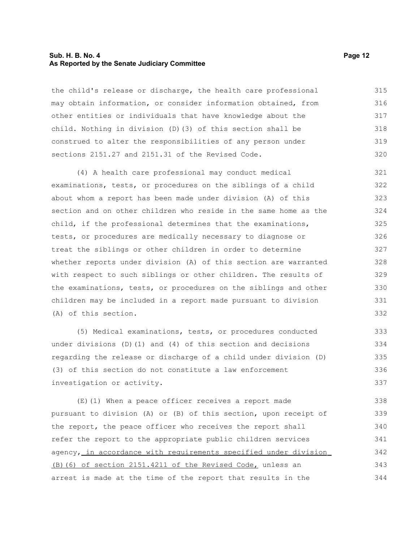#### **Sub. H. B. No. 4 Page 12 As Reported by the Senate Judiciary Committee**

the child's release or discharge, the health care professional may obtain information, or consider information obtained, from other entities or individuals that have knowledge about the child. Nothing in division (D)(3) of this section shall be construed to alter the responsibilities of any person under sections 2151.27 and 2151.31 of the Revised Code. 315 316 317 318 319 320

(4) A health care professional may conduct medical examinations, tests, or procedures on the siblings of a child about whom a report has been made under division (A) of this section and on other children who reside in the same home as the child, if the professional determines that the examinations, tests, or procedures are medically necessary to diagnose or treat the siblings or other children in order to determine whether reports under division (A) of this section are warranted with respect to such siblings or other children. The results of the examinations, tests, or procedures on the siblings and other children may be included in a report made pursuant to division (A) of this section. 321 322 323 324 325 326 327 328 329 330 331 332

(5) Medical examinations, tests, or procedures conducted under divisions (D)(1) and (4) of this section and decisions regarding the release or discharge of a child under division (D) (3) of this section do not constitute a law enforcement investigation or activity. 333 334 335 336 337

(E)(1) When a peace officer receives a report made pursuant to division (A) or (B) of this section, upon receipt of the report, the peace officer who receives the report shall refer the report to the appropriate public children services agency, in accordance with requirements specified under division (B)(6) of section 2151.4211 of the Revised Code, unless an arrest is made at the time of the report that results in the 338 339 340 341 342 343 344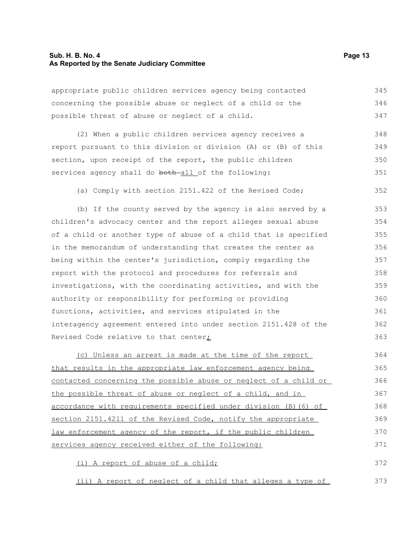#### **Sub. H. B. No. 4 Page 13 As Reported by the Senate Judiciary Committee**

appropriate public children services agency being contacted concerning the possible abuse or neglect of a child or the possible threat of abuse or neglect of a child. 345 346 347

(2) When a public children services agency receives a report pursuant to this division or division (A) or (B) of this section, upon receipt of the report, the public children services agency shall do both-all of the following: 348 349 350 351

(a) Comply with section 2151.422 of the Revised Code; 352

(b) If the county served by the agency is also served by a children's advocacy center and the report alleges sexual abuse of a child or another type of abuse of a child that is specified in the memorandum of understanding that creates the center as being within the center's jurisdiction, comply regarding the report with the protocol and procedures for referrals and investigations, with the coordinating activities, and with the authority or responsibility for performing or providing functions, activities, and services stipulated in the interagency agreement entered into under section 2151.428 of the Revised Code relative to that center; 353 354 355 356 357 358 359 360 361 362 363

(c) Unless an arrest is made at the time of the report that results in the appropriate law enforcement agency being contacted concerning the possible abuse or neglect of a child or the possible threat of abuse or neglect of a child, and in accordance with requirements specified under division (B)(6) of section 2151.4211 of the Revised Code, notify the appropriate law enforcement agency of the report, if the public children services agency received either of the following: 364 365 366 367 368 369 370 371

(i) A report of abuse of a child; (ii) A report of neglect of a child that alleges a type of 372 373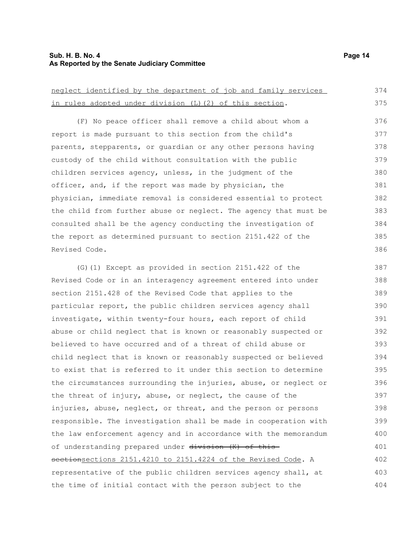#### **Sub. H. B. No. 4 Page 14 As Reported by the Senate Judiciary Committee**

neglect identified by the department of job and family services in rules adopted under division (L)(2) of this section. (F) No peace officer shall remove a child about whom a report is made pursuant to this section from the child's parents, stepparents, or guardian or any other persons having custody of the child without consultation with the public children services agency, unless, in the judgment of the officer, and, if the report was made by physician, the physician, immediate removal is considered essential to protect the child from further abuse or neglect. The agency that must be consulted shall be the agency conducting the investigation of the report as determined pursuant to section 2151.422 of the Revised Code. (G)(1) Except as provided in section 2151.422 of the Revised Code or in an interagency agreement entered into under section 2151.428 of the Revised Code that applies to the particular report, the public children services agency shall investigate, within twenty-four hours, each report of child abuse or child neglect that is known or reasonably suspected or believed to have occurred and of a threat of child abuse or child neglect that is known or reasonably suspected or believed to exist that is referred to it under this section to determine the circumstances surrounding the injuries, abuse, or neglect or the threat of injury, abuse, or neglect, the cause of the injuries, abuse, neglect, or threat, and the person or persons responsible. The investigation shall be made in cooperation with the law enforcement agency and in accordance with the memorandum of understanding prepared under division (K) of thissectionsections 2151.4210 to 2151.4224 of the Revised Code. A representative of the public children services agency shall, at the time of initial contact with the person subject to the 374 375 376 377 378 379 380 381 382 383 384 385 386 387 388 389 390 391 392 393 394 395 396 397 398 399 400 401 402 403 404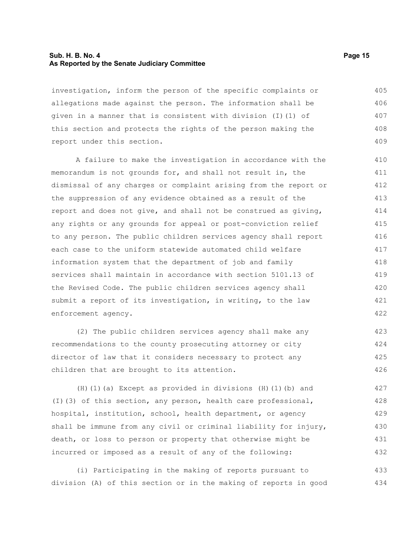#### **Sub. H. B. No. 4 Page 15 As Reported by the Senate Judiciary Committee**

investigation, inform the person of the specific complaints or allegations made against the person. The information shall be given in a manner that is consistent with division (I)(1) of this section and protects the rights of the person making the report under this section. 405 406 407 408 409

A failure to make the investigation in accordance with the memorandum is not grounds for, and shall not result in, the dismissal of any charges or complaint arising from the report or the suppression of any evidence obtained as a result of the report and does not give, and shall not be construed as giving, any rights or any grounds for appeal or post-conviction relief to any person. The public children services agency shall report each case to the uniform statewide automated child welfare information system that the department of job and family services shall maintain in accordance with section 5101.13 of the Revised Code. The public children services agency shall submit a report of its investigation, in writing, to the law enforcement agency. 410 411 412 413 414 415 416 417 418 419 420 421 422

(2) The public children services agency shall make any recommendations to the county prosecuting attorney or city director of law that it considers necessary to protect any children that are brought to its attention. 423 424 425 426

(H)(1)(a) Except as provided in divisions (H)(1)(b) and (I)(3) of this section, any person, health care professional, hospital, institution, school, health department, or agency shall be immune from any civil or criminal liability for injury, death, or loss to person or property that otherwise might be incurred or imposed as a result of any of the following: 427 428 429 430 431 432

(i) Participating in the making of reports pursuant to division (A) of this section or in the making of reports in good 433 434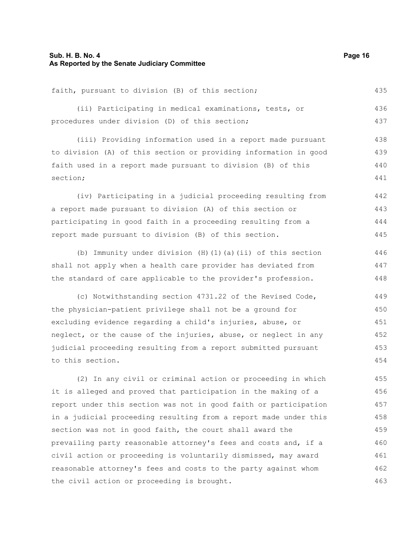### **Sub. H. B. No. 4** Page 16 **As Reported by the Senate Judiciary Committee**

| faith, pursuant to division (B) of this section;                 | 435 |
|------------------------------------------------------------------|-----|
| (ii) Participating in medical examinations, tests, or            | 436 |
| procedures under division (D) of this section;                   | 437 |
| (iii) Providing information used in a report made pursuant       | 438 |
| to division (A) of this section or providing information in good | 439 |
| faith used in a report made pursuant to division (B) of this     | 440 |
| section;                                                         | 441 |
| (iv) Participating in a judicial proceeding resulting from       | 442 |
| a report made pursuant to division (A) of this section or        | 443 |
| participating in good faith in a proceeding resulting from a     | 444 |
| report made pursuant to division (B) of this section.            | 445 |
| (b) Immunity under division (H)(1)(a)(ii) of this section        | 446 |
| shall not apply when a health care provider has deviated from    | 447 |
| the standard of care applicable to the provider's profession.    | 448 |
| (c) Notwithstanding section 4731.22 of the Revised Code,         | 449 |
| the physician-patient privilege shall not be a ground for        | 450 |
| excluding evidence regarding a child's injuries, abuse, or       | 451 |
| neglect, or the cause of the injuries, abuse, or neglect in any  | 452 |
| judicial proceeding resulting from a report submitted pursuant   | 453 |
| to this section.                                                 | 454 |
| (2) In any civil or criminal action or proceeding in which       | 455 |
| it is alleged and proved that participation in the making of a   | 456 |
| report under this section was not in good faith or participation | 457 |
| in a judicial proceeding resulting from a report made under this | 458 |
| section was not in good faith, the court shall award the         | 459 |
| prevailing party reasonable attorney's fees and costs and, if a  | 460 |
| civil action or proceeding is voluntarily dismissed, may award   | 461 |
| reasonable attorney's fees and costs to the party against whom   | 462 |
| the civil action or proceeding is brought.                       | 463 |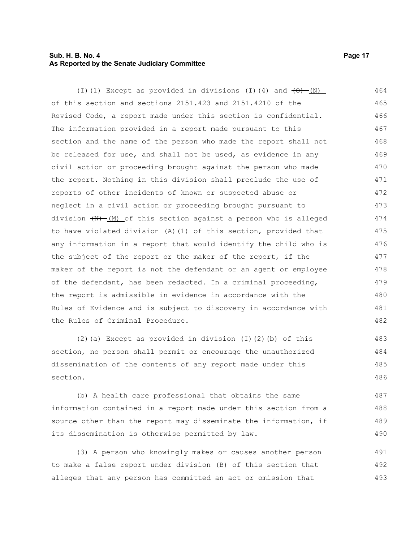### **Sub. H. B. No. 4 Page 17 As Reported by the Senate Judiciary Committee**

(I)(1) Except as provided in divisions (I)(4) and  $\left( \Theta \right)$  (N) of this section and sections 2151.423 and 2151.4210 of the Revised Code, a report made under this section is confidential. The information provided in a report made pursuant to this section and the name of the person who made the report shall not be released for use, and shall not be used, as evidence in any civil action or proceeding brought against the person who made the report. Nothing in this division shall preclude the use of reports of other incidents of known or suspected abuse or neglect in a civil action or proceeding brought pursuant to division  $(W)$   $(M)$  of this section against a person who is alleged to have violated division (A)(1) of this section, provided that any information in a report that would identify the child who is the subject of the report or the maker of the report, if the maker of the report is not the defendant or an agent or employee of the defendant, has been redacted. In a criminal proceeding, the report is admissible in evidence in accordance with the Rules of Evidence and is subject to discovery in accordance with the Rules of Criminal Procedure. 464 465 466 467 468 469 470 471 472 473 474 475 476 477 478 479 480 481 482

(2)(a) Except as provided in division (I)(2)(b) of this section, no person shall permit or encourage the unauthorized dissemination of the contents of any report made under this section. 483 484 485 486

(b) A health care professional that obtains the same information contained in a report made under this section from a source other than the report may disseminate the information, if its dissemination is otherwise permitted by law. 487 488 489 490

(3) A person who knowingly makes or causes another person to make a false report under division (B) of this section that alleges that any person has committed an act or omission that 491 492 493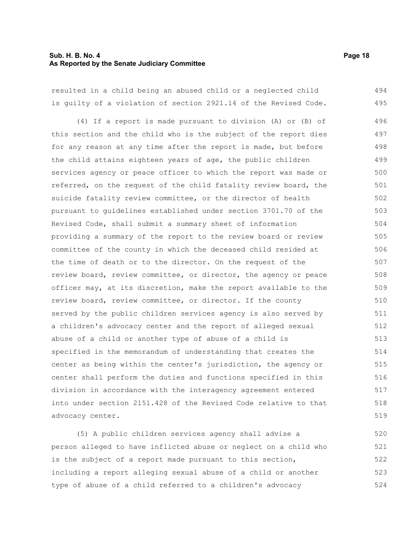#### **Sub. H. B. No. 4 Page 18 As Reported by the Senate Judiciary Committee**

resulted in a child being an abused child or a neglected child is guilty of a violation of section 2921.14 of the Revised Code. 494 495

(4) If a report is made pursuant to division (A) or (B) of this section and the child who is the subject of the report dies for any reason at any time after the report is made, but before the child attains eighteen years of age, the public children services agency or peace officer to which the report was made or referred, on the request of the child fatality review board, the suicide fatality review committee, or the director of health pursuant to guidelines established under section 3701.70 of the Revised Code, shall submit a summary sheet of information providing a summary of the report to the review board or review committee of the county in which the deceased child resided at the time of death or to the director. On the request of the review board, review committee, or director, the agency or peace officer may, at its discretion, make the report available to the review board, review committee, or director. If the county served by the public children services agency is also served by a children's advocacy center and the report of alleged sexual abuse of a child or another type of abuse of a child is specified in the memorandum of understanding that creates the center as being within the center's jurisdiction, the agency or center shall perform the duties and functions specified in this division in accordance with the interagency agreement entered into under section 2151.428 of the Revised Code relative to that advocacy center. 496 497 498 499 500 501 502 503 504 505 506 507 508 509 510 511 512 513 514 515 516 517 518 519

(5) A public children services agency shall advise a person alleged to have inflicted abuse or neglect on a child who is the subject of a report made pursuant to this section, including a report alleging sexual abuse of a child or another type of abuse of a child referred to a children's advocacy 520 521 522 523 524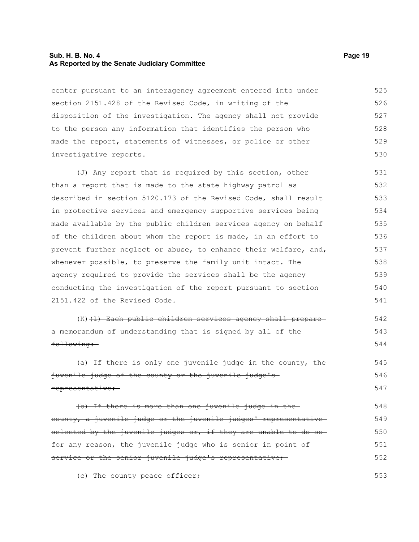#### **Sub. H. B. No. 4 Page 19 As Reported by the Senate Judiciary Committee**

center pursuant to an interagency agreement entered into under section 2151.428 of the Revised Code, in writing of the disposition of the investigation. The agency shall not provide to the person any information that identifies the person who made the report, statements of witnesses, or police or other investigative reports. 525 526 527 528 529 530

(J) Any report that is required by this section, other than a report that is made to the state highway patrol as described in section 5120.173 of the Revised Code, shall result in protective services and emergency supportive services being made available by the public children services agency on behalf of the children about whom the report is made, in an effort to prevent further neglect or abuse, to enhance their welfare, and, whenever possible, to preserve the family unit intact. The agency required to provide the services shall be the agency conducting the investigation of the report pursuant to section 2151.422 of the Revised Code. 531 532 533 534 535 536 537 538 539 540 541

 $(K)$  (1) Each public children services agency shall prepare a memorandum of understanding that is signed by all of the following: 542 543 544

(a) If there is only one juvenile judge in the county, the juvenile judge of the county or the juvenile judge's representative; 545 546 547

(b) If there is more than one juvenile judge in the county, a juvenile judge or the juvenile judges' representative selected by the juvenile judges or, if they are unable to do sofor any reason, the juvenile judge who is senior in point of service or the senior juvenile judge's representative; 548 549 550 551 552

(c) The county peace officer;

553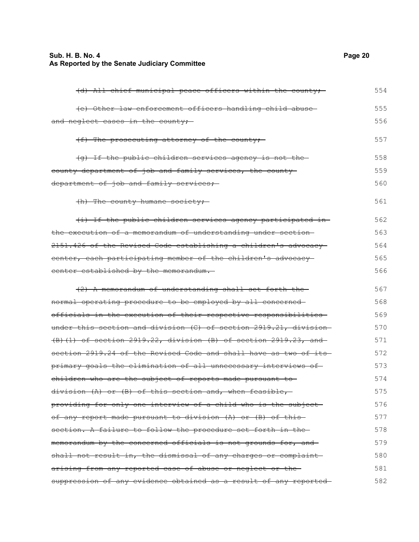# **Sub. H. B. No. 4** Page 20 **As Reported by the Senate Judiciary Committee**

| (d) All chief municipal peace officers within the county;          | 554 |
|--------------------------------------------------------------------|-----|
| (e) Other law enforcement officers handling child abuse-           | 555 |
| and neglect cases in the county;                                   | 556 |
| (f) The prosecuting attorney of the county;                        | 557 |
| (g) If the public children services agency is not the              | 558 |
| county department of job and family services, the county           | 559 |
| department of job and family services;                             | 560 |
| (h) The county humane society;                                     | 561 |
| (i) If the public children services agency participated in-        | 562 |
| the execution of a memorandum of understanding under section       | 563 |
| 2151.426 of the Revised Code establishing a children's advocacy-   | 564 |
| eenter, each participating member of the children's advocacy       | 565 |
| eenter established by the memorandum.                              | 566 |
| (2) A memorandum of understanding shall set forth the              | 567 |
| normal operating procedure to be employed by all concerned-        | 568 |
| officials in the execution of their respective responsibilities    | 569 |
| under this section and division (C) of section 2919.21, division   | 570 |
| $(B)$ (1) of section 2919.22, division (B) of section 2919.23, and | 571 |
| section 2919.24 of the Revised Code and shall have as two of its-  | 572 |
| primary goals the elimination of all unnecessary interviews of     | 573 |
| children who are the subject of reports made pursuant to-          | 574 |
| division (A) or (B) of this section and, when feasible,            | 575 |
| providing for only one interview of a child who is the subject-    | 576 |
| of any report made pursuant to division (A) or (B) of this-        | 577 |
| section. A failure to follow the procedure set forth in the-       | 578 |
| memorandum by the concerned officials is not grounds for, and      | 579 |
| shall not result in, the dismissal of any charges or complaint     | 580 |
| arising from any reported case of abuse or neglect or the-         | 581 |
| suppression of any evidence obtained as a result of any reported-  | 582 |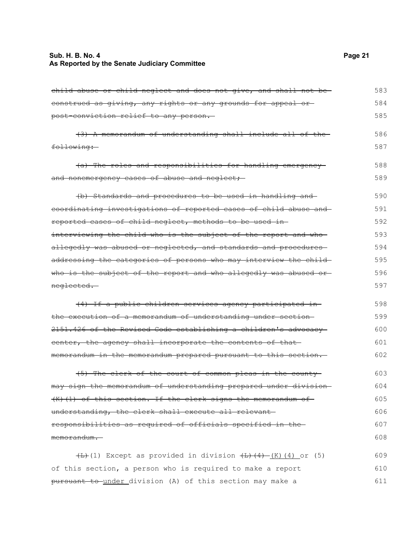## **Sub. H. B. No. 4 Page 21 As Reported by the Senate Judiciary Committee**

| child abuse or child neglect and does not give, and shall not be-                                               | 583 |
|-----------------------------------------------------------------------------------------------------------------|-----|
| construed as giving, any rights or any grounds for appeal or                                                    | 584 |
| post-conviction relief to any person.                                                                           | 585 |
| (3) A memorandum of understanding shall include all of the-                                                     | 586 |
| following:                                                                                                      | 587 |
| (a) The roles and responsibilities for handling emergency-                                                      | 588 |
| and nonemergency cases of abuse and neglect;                                                                    | 589 |
| (b) Standards and procedures to be used in handling and                                                         | 590 |
| coordinating investigations of reported cases of child abuse and                                                | 591 |
| reported cases of child neglect, methods to be used in-                                                         | 592 |
| interviewing the child who is the subject of the report and who-                                                | 593 |
| allegedly was abused or neglected, and standards and procedures-                                                | 594 |
| addressing the categories of persons who may interview the child-                                               | 595 |
| who is the subject of the report and who allegedly was abused or-                                               | 596 |
| neglected.                                                                                                      | 597 |
| (4) If a public children services agency participated in-                                                       | 598 |
| the execution of a memorandum of understanding under section                                                    | 599 |
| 2151.426 of the Revised Code establishing a children's advocacy-                                                | 600 |
| eenter, the agency shall incorporate the contents of that-                                                      | 601 |
| memorandum in the memorandum prepared pursuant to this section.                                                 | 602 |
| (5) The clerk of the court of common pleas in the county                                                        | 603 |
| may sign the memorandum of understanding prepared under division                                                | 604 |
| $(K)$ (1) of this section. If the clerk signs the memorandum of                                                 | 605 |
| understanding, the clerk shall execute all relevant                                                             | 606 |
| responsibilities as required of officials specified in the-                                                     | 607 |
| memorandum.                                                                                                     | 608 |
| $\overline{+L}$ (1) Except as provided in division $\overline{+L}$ $\overline{+4}$ $\overline{+K}$ $(4)$ or (5) | 609 |
| of this section, a person who is required to make a report                                                      | 610 |
| pursuant to under division (A) of this section may make a                                                       | 611 |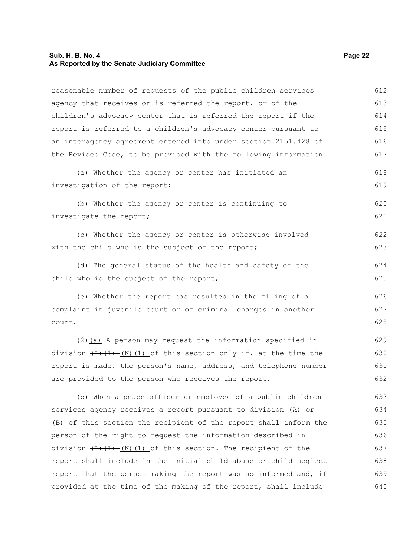### **Sub. H. B. No. 4 Page 22 As Reported by the Senate Judiciary Committee**

| reasonable number of requests of the public children services                                             | 612 |
|-----------------------------------------------------------------------------------------------------------|-----|
| agency that receives or is referred the report, or of the                                                 | 613 |
| children's advocacy center that is referred the report if the                                             | 614 |
| report is referred to a children's advocacy center pursuant to                                            | 615 |
| an interagency agreement entered into under section 2151.428 of                                           | 616 |
| the Revised Code, to be provided with the following information:                                          | 617 |
| (a) Whether the agency or center has initiated an                                                         | 618 |
| investigation of the report;                                                                              | 619 |
| (b) Whether the agency or center is continuing to                                                         | 620 |
| investigate the report;                                                                                   | 621 |
| (c) Whether the agency or center is otherwise involved                                                    | 622 |
| with the child who is the subject of the report;                                                          | 623 |
| (d) The general status of the health and safety of the                                                    | 624 |
| child who is the subject of the report;                                                                   | 625 |
| (e) Whether the report has resulted in the filing of a                                                    | 626 |
| complaint in juvenile court or of criminal charges in another                                             | 627 |
| court.                                                                                                    | 628 |
| $(2)$ (a) A person may request the information specified in                                               | 629 |
| division $\left(\frac{L}{L}\right) \left(\frac{L}{L}\right)$ (1) of this section only if, at the time the | 630 |
| report is made, the person's name, address, and telephone number                                          | 631 |
| are provided to the person who receives the report.                                                       | 632 |
| (b) When a peace officer or employee of a public children                                                 | 633 |
| services agency receives a report pursuant to division (A) or                                             | 634 |
| (B) of this section the recipient of the report shall inform the                                          | 635 |
| person of the right to request the information described in                                               | 636 |
| division $\left(\frac{L}{L}\right)\left(\frac{R}{L}\right)$ (1) of this section. The recipient of the     | 637 |
| report shall include in the initial child abuse or child neglect                                          | 638 |
| report that the person making the report was so informed and, if                                          | 639 |
| provided at the time of the making of the report, shall include                                           | 640 |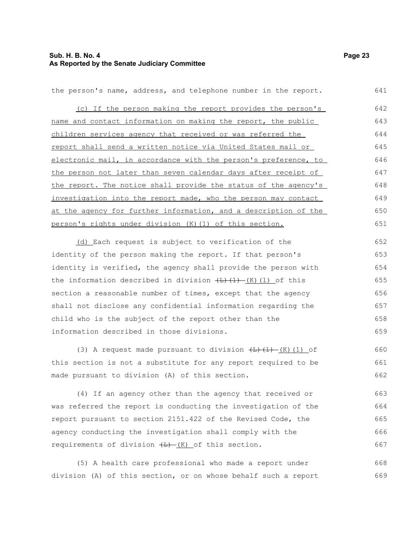### **Sub. H. B. No. 4 Page 23 As Reported by the Senate Judiciary Committee**

| the person's name, address, and telephone number in the report. | 641 |
|-----------------------------------------------------------------|-----|
| (c) If the person making the report provides the person's       | 642 |
| name and contact information on making the report, the public   | 643 |
| children services agency that received or was referred the      | 644 |
| report shall send a written notice via United States mail or    | 645 |
| electronic mail, in accordance with the person's preference, to | 646 |
| the person not later than seven calendar days after receipt of  | 647 |
| the report. The notice shall provide the status of the agency's | 648 |
| investigation into the report made, who the person may contact  | 649 |
| at the agency for further information, and a description of the | 650 |
| person's rights under division (K) (1) of this section.         | 651 |
|                                                                 |     |

(d) Each request is subject to verification of the identity of the person making the report. If that person's identity is verified, the agency shall provide the person with the information described in division  $(H)$   $(H)$   $(K)$  (1) of this section a reasonable number of times, except that the agency shall not disclose any confidential information regarding the child who is the subject of the report other than the information described in those divisions. 652 653 654 655 656 657 658 659

(3) A request made pursuant to division  $\left(\frac{L}{L}\right)\left(1\right)$  (1) of this section is not a substitute for any report required to be made pursuant to division (A) of this section. 660 661 662

(4) If an agency other than the agency that received or was referred the report is conducting the investigation of the report pursuant to section 2151.422 of the Revised Code, the agency conducting the investigation shall comply with the requirements of division  $(H)$   $(K)$  of this section. 663 664 665 666 667

(5) A health care professional who made a report under division (A) of this section, or on whose behalf such a report 668 669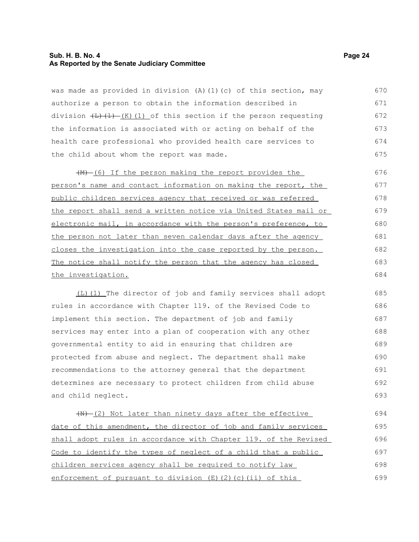#### **Sub. H. B. No. 4 Page 24 As Reported by the Senate Judiciary Committee**

was made as provided in division  $(A)$   $(1)$   $(c)$  of this section, may authorize a person to obtain the information described in division  $\frac{L}{L}(\frac{L}{L})$  (I) of this section if the person requesting the information is associated with or acting on behalf of the health care professional who provided health care services to the child about whom the report was made. 670 671 672 673 674 675

 $(H)$  (6) If the person making the report provides the person's name and contact information on making the report, the public children services agency that received or was referred the report shall send a written notice via United States mail or electronic mail, in accordance with the person's preference, to the person not later than seven calendar days after the agency closes the investigation into the case reported by the person. The notice shall notify the person that the agency has closed the investigation. 676 677 678 679 680 681 682 683 684

(L)(1) The director of job and family services shall adopt rules in accordance with Chapter 119. of the Revised Code to implement this section. The department of job and family services may enter into a plan of cooperation with any other governmental entity to aid in ensuring that children are protected from abuse and neglect. The department shall make recommendations to the attorney general that the department determines are necessary to protect children from child abuse and child neglect. 685 686 687 688 689 690 691 692 693

(N) (2) Not later than ninety days after the effective date of this amendment, the director of job and family services shall adopt rules in accordance with Chapter 119. of the Revised Code to identify the types of neglect of a child that a public children services agency shall be required to notify law enforcement of pursuant to division (E)(2)(c)(ii) of this 694 695 696 697 698 699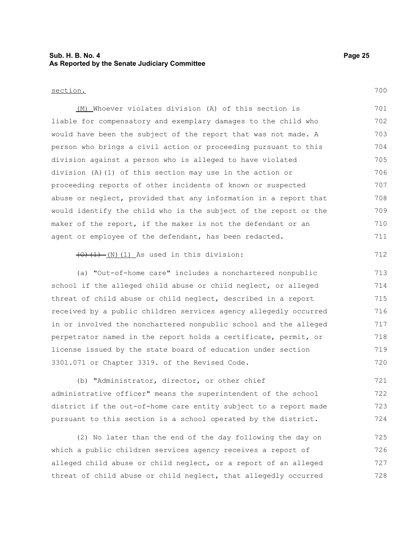### **Sub. H. B. No. 4 Page 25 As Reported by the Senate Judiciary Committee**

#### section.

712

(M) Whoever violates division (A) of this section is liable for compensatory and exemplary damages to the child who would have been the subject of the report that was not made. A person who brings a civil action or proceeding pursuant to this division against a person who is alleged to have violated division (A)(1) of this section may use in the action or proceeding reports of other incidents of known or suspected abuse or neglect, provided that any information in a report that would identify the child who is the subject of the report or the maker of the report, if the maker is not the defendant or an agent or employee of the defendant, has been redacted. 701 702 703 704 705 706 707 708 709 710 711

#### $(0)(1)$  (N)(1) As used in this division:

(a) "Out-of-home care" includes a nonchartered nonpublic school if the alleged child abuse or child neglect, or alleged threat of child abuse or child neglect, described in a report received by a public children services agency allegedly occurred in or involved the nonchartered nonpublic school and the alleged perpetrator named in the report holds a certificate, permit, or license issued by the state board of education under section 3301.071 or Chapter 3319. of the Revised Code. 713 714 715 716 717 718 719 720

(b) "Administrator, director, or other chief administrative officer" means the superintendent of the school district if the out-of-home care entity subject to a report made pursuant to this section is a school operated by the district. 721 722 723 724

(2) No later than the end of the day following the day on which a public children services agency receives a report of alleged child abuse or child neglect, or a report of an alleged threat of child abuse or child neglect, that allegedly occurred 725 726 727 728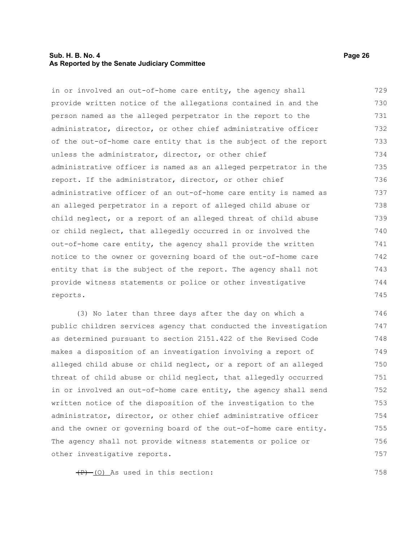#### **Sub. H. B. No. 4 Page 26 As Reported by the Senate Judiciary Committee**

in or involved an out-of-home care entity, the agency shall provide written notice of the allegations contained in and the person named as the alleged perpetrator in the report to the administrator, director, or other chief administrative officer of the out-of-home care entity that is the subject of the report unless the administrator, director, or other chief administrative officer is named as an alleged perpetrator in the report. If the administrator, director, or other chief administrative officer of an out-of-home care entity is named as an alleged perpetrator in a report of alleged child abuse or child neglect, or a report of an alleged threat of child abuse or child neglect, that allegedly occurred in or involved the out-of-home care entity, the agency shall provide the written notice to the owner or governing board of the out-of-home care entity that is the subject of the report. The agency shall not provide witness statements or police or other investigative reports. 729 730 731 732 733 734 735 736 737 738 739 740 741 742 743 744 745

(3) No later than three days after the day on which a public children services agency that conducted the investigation as determined pursuant to section 2151.422 of the Revised Code makes a disposition of an investigation involving a report of alleged child abuse or child neglect, or a report of an alleged threat of child abuse or child neglect, that allegedly occurred in or involved an out-of-home care entity, the agency shall send written notice of the disposition of the investigation to the administrator, director, or other chief administrative officer and the owner or governing board of the out-of-home care entity. The agency shall not provide witness statements or police or other investigative reports. 746 747 748 749 750 751 752 753 754 755 756 757

(P) (O) As used in this section:

758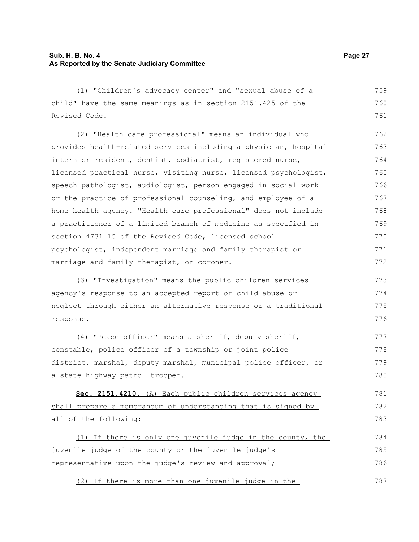### **Sub. H. B. No. 4 Page 27 As Reported by the Senate Judiciary Committee**

(1) "Children's advocacy center" and "sexual abuse of a child" have the same meanings as in section 2151.425 of the Revised Code. 759 760 761

(2) "Health care professional" means an individual who provides health-related services including a physician, hospital intern or resident, dentist, podiatrist, registered nurse, licensed practical nurse, visiting nurse, licensed psychologist, speech pathologist, audiologist, person engaged in social work or the practice of professional counseling, and employee of a home health agency. "Health care professional" does not include a practitioner of a limited branch of medicine as specified in section 4731.15 of the Revised Code, licensed school psychologist, independent marriage and family therapist or marriage and family therapist, or coroner. 762 763 764 765 766 767 768 769 770 771 772

(3) "Investigation" means the public children services agency's response to an accepted report of child abuse or neglect through either an alternative response or a traditional response. 773 774 775 776

(4) "Peace officer" means a sheriff, deputy sheriff, constable, police officer of a township or joint police district, marshal, deputy marshal, municipal police officer, or a state highway patrol trooper. 777 778 779 780

 **Sec. 2151.4210.** (A) Each public children services agency shall prepare a memorandum of understanding that is signed by all of the following: 781 782 783

(1) If there is only one juvenile judge in the county, the juvenile judge of the county or the juvenile judge's representative upon the judge's review and approval; 784 785 786

(2) If there is more than one juvenile judge in the 787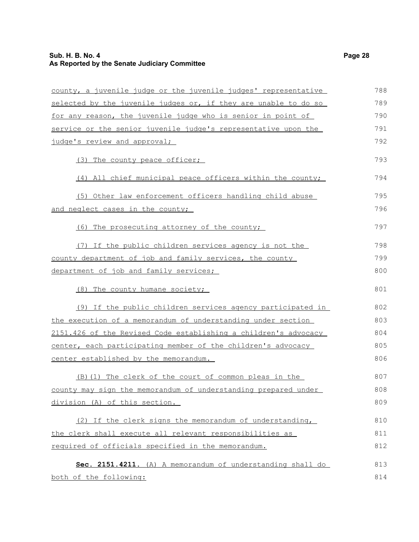### **Sub. H. B. No. 4 Page 28 As Reported by the Senate Judiciary Committee**

| county, a juvenile judge or the juvenile judges' representative | 788 |
|-----------------------------------------------------------------|-----|
| selected by the juvenile judges or, if they are unable to do so | 789 |
| for any reason, the juvenile judge who is senior in point of    | 790 |
| service or the senior juvenile judge's representative upon the  | 791 |
| judge's review and approval;                                    | 792 |
| (3) The county peace officer;                                   | 793 |
| (4) All chief municipal peace officers within the county;       | 794 |
| (5) Other law enforcement officers handling child abuse         | 795 |
| and neglect cases in the county;                                | 796 |
| (6) The prosecuting attorney of the county;                     | 797 |
| (7) If the public children services agency is not the           | 798 |
| county department of job and family services, the county        | 799 |
| department of job and family services;                          | 800 |
| (8) The county humane society;                                  | 801 |
| (9) If the public children services agency participated in      | 802 |
| the execution of a memorandum of understanding under section    | 803 |
| 2151.426 of the Revised Code establishing a children's advocacy | 804 |
| center, each participating member of the children's advocacy    | 805 |
| center established by the memorandum.                           | 806 |
| (B) (1) The clerk of the court of common pleas in the           | 807 |
| county may sign the memorandum of understanding prepared under  | 808 |
| division (A) of this section.                                   | 809 |
| (2) If the clerk signs the memorandum of understanding,         | 810 |
| the clerk shall execute all relevant responsibilities as        | 811 |
| required of officials specified in the memorandum.              | 812 |
| Sec. 2151.4211. (A) A memorandum of understanding shall do      | 813 |
| both of the following:                                          | 814 |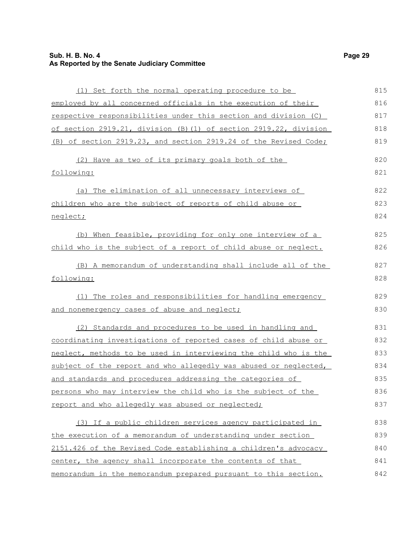### **Sub. H. B. No. 4** Page 29 **As Reported by the Senate Judiciary Committee**

| (1) Set forth the normal operating procedure to be                | 815 |
|-------------------------------------------------------------------|-----|
| employed by all concerned officials in the execution of their     | 816 |
| respective responsibilities under this section and division (C)   | 817 |
| of section 2919.21, division (B) (1) of section 2919.22, division | 818 |
| (B) of section 2919.23, and section 2919.24 of the Revised Code;  | 819 |
| (2) Have as two of its primary goals both of the                  | 820 |
| following:                                                        | 821 |
| (a) The elimination of all unnecessary interviews of              | 822 |
| children who are the subject of reports of child abuse or         | 823 |
| neglect;                                                          | 824 |
| (b) When feasible, providing for only one interview of a          | 825 |
| child who is the subject of a report of child abuse or neglect.   | 826 |
| (B) A memorandum of understanding shall include all of the        | 827 |
| following:                                                        | 828 |
| (1) The roles and responsibilities for handling emergency         | 829 |
| and nonemergency cases of abuse and neglect;                      | 830 |
| (2) Standards and procedures to be used in handling and           | 831 |
| coordinating investigations of reported cases of child abuse or   | 832 |
| neglect, methods to be used in interviewing the child who is the  | 833 |
| subject of the report and who allegedly was abused or neglected,  | 834 |
| and standards and procedures addressing the categories of         | 835 |
| persons who may interview the child who is the subject of the     | 836 |
| report and who allegedly was abused or neglected;                 | 837 |
| (3) If a public children services agency participated in          | 838 |
| the execution of a memorandum of understanding under section      | 839 |
| 2151.426 of the Revised Code establishing a children's advocacy   | 840 |
| center, the agency shall incorporate the contents of that         | 841 |
| memorandum in the memorandum prepared pursuant to this section.   | 842 |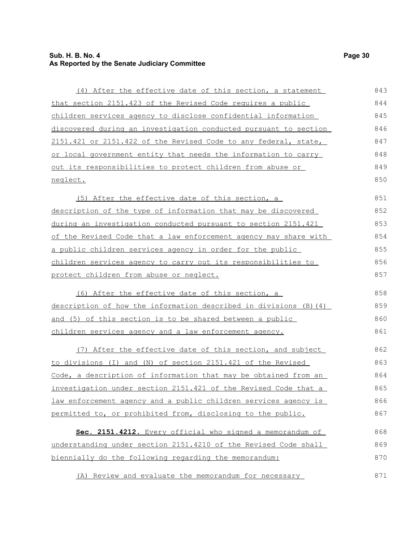### **Sub. H. B. No. 4** Page 30 **As Reported by the Senate Judiciary Committee**

| (4) After the effective date of this section, a statement        | 843 |
|------------------------------------------------------------------|-----|
| that section 2151.423 of the Revised Code requires a public      | 844 |
| children services agency to disclose confidential information    | 845 |
| discovered during an investigation conducted pursuant to section | 846 |
| 2151.421 or 2151.422 of the Revised Code to any federal, state,  | 847 |
| or local government entity that needs the information to carry   | 848 |
| out its responsibilities to protect children from abuse or       | 849 |
| neglect.                                                         | 850 |
| (5) After the effective date of this section, a                  | 851 |
| description of the type of information that may be discovered    | 852 |
| during an investigation conducted pursuant to section 2151.421   | 853 |
| of the Revised Code that a law enforcement agency may share with | 854 |
| a public children services agency in order for the public        | 855 |
| children services agency to carry out its responsibilities to    | 856 |
| protect children from abuse or neglect.                          | 857 |
| (6) After the effective date of this section, a                  | 858 |
| description of how the information described in divisions (B)(4) | 859 |
| and (5) of this section is to be shared between a public         | 860 |
| children services agency and a law enforcement agency.           | 861 |
| (7) After the effective date of this section, and subject        | 862 |
| to divisions (I) and (N) of section 2151.421 of the Revised      | 863 |
| Code, a description of information that may be obtained from an  | 864 |
| investigation under section 2151.421 of the Revised Code that a  | 865 |
| law enforcement agency and a public children services agency is  | 866 |
| permitted to, or prohibited from, disclosing to the public.      | 867 |
| Sec. 2151.4212. Every official who signed a memorandum of        | 868 |
| understanding under section 2151.4210 of the Revised Code shall  | 869 |
| biennially do the following regarding the memorandum:            | 870 |
| (A) Review and evaluate the memorandum for necessary             | 871 |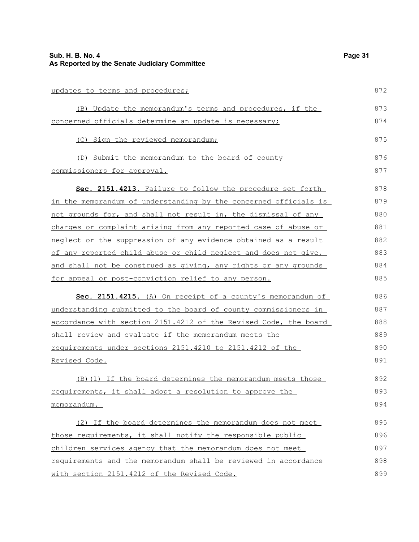| updates to terms and procedures;                                 | 872 |
|------------------------------------------------------------------|-----|
| (B) Update the memorandum's terms and procedures, if the         | 873 |
| concerned officials determine an update is necessary;            | 874 |
| (C) Sign the reviewed memorandum;                                | 875 |
| (D) Submit the memorandum to the board of county                 | 876 |
| commissioners for approval.                                      | 877 |
| Sec. 2151.4213. Failure to follow the procedure set forth        | 878 |
| in the memorandum of understanding by the concerned officials is | 879 |
| not grounds for, and shall not result in, the dismissal of any   | 880 |
| charges or complaint arising from any reported case of abuse or  | 881 |
| neglect or the suppression of any evidence obtained as a result  | 882 |
| of any reported child abuse or child neglect and does not give,  | 883 |
| and shall not be construed as giving, any rights or any grounds  | 884 |
| for appeal or post-conviction relief to any person.              | 885 |
| Sec. 2151.4215. (A) On receipt of a county's memorandum of       | 886 |
| understanding submitted to the board of county commissioners in  | 887 |
| accordance with section 2151.4212 of the Revised Code, the board | 888 |
| shall review and evaluate if the memorandum meets the            | 889 |

requirements, it shall adopt a resolution to approve the memorandum. (2) If the board determines the memorandum does not meet those requirements, it shall notify the responsible public children services agency that the memorandum does not meet 893 894 895 896 897

(B)(1) If the board determines the memorandum meets those

requirements under sections 2151.4210 to 2151.4212 of the

Revised Code.

requirements and the memorandum shall be reviewed in accordance with section 2151.4212 of the Revised Code. 898 899

890 891

892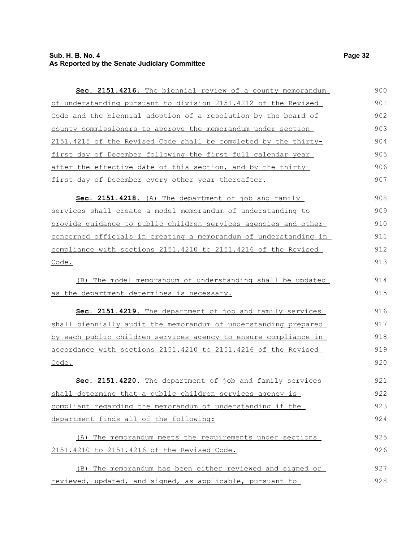### **Sub. H. B. No. 4 Page 32 As Reported by the Senate Judiciary Committee**

| Sec. 2151.4216. The biennial review of a county memorandum          | 900 |
|---------------------------------------------------------------------|-----|
| of understanding pursuant to division 2151.4212 of the Revised      | 901 |
| Code and the biennial adoption of a resolution by the board of      | 902 |
| <u>county commissioners to approve the memorandum under section</u> | 903 |
| 2151.4215 of the Revised Code shall be completed by the thirty-     | 904 |
| first day of December following the first full calendar year        | 905 |
| after the effective date of this section, and by the thirty-        | 906 |
| first day of December every other year thereafter.                  | 907 |
| Sec. 2151.4218. (A) The department of job and family                | 908 |
| services shall create a model memorandum of understanding to        | 909 |
| provide quidance to public children services agencies and other     | 910 |
| concerned officials in creating a memorandum of understanding in    | 911 |
| compliance with sections 2151.4210 to 2151.4216 of the Revised      | 912 |
| Code.                                                               | 913 |
| (B) The model memorandum of understanding shall be updated          | 914 |
| <u>as the department determines is necessary.</u>                   | 915 |
| Sec. 2151.4219. The department of job and family services           | 916 |
| shall biennially audit the memorandum of understanding prepared     | 917 |
| by each public children services agency to ensure compliance in     | 918 |
| accordance with sections 2151.4210 to 2151.4216 of the Revised      | 919 |
| Code.                                                               | 920 |
| Sec. 2151.4220. The department of job and family services           | 921 |
| shall determine that a public children services agency is           | 922 |
| compliant regarding the memorandum of understanding if the          | 923 |
| department finds all of the following:                              | 924 |
| (A) The memorandum meets the requirements under sections            | 925 |
| 2151.4210 to 2151.4216 of the Revised Code.                         | 926 |
| (B) The memorandum has been either reviewed and signed or           | 927 |
| reviewed, updated, and signed, as applicable, pursuant to           | 928 |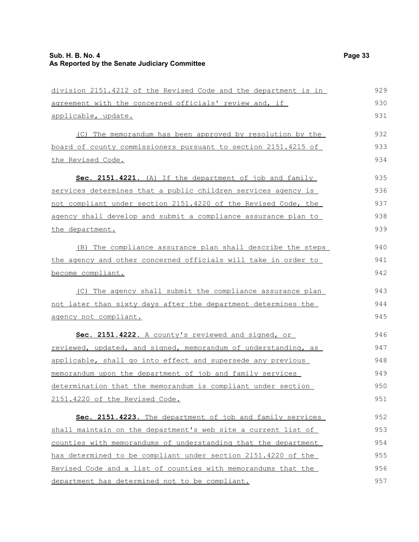| division 2151.4212 of the Revised Code and the department is in | 929 |
|-----------------------------------------------------------------|-----|
| agreement with the concerned officials' review and, if          | 930 |
| applicable, update.                                             | 931 |
| (C) The memorandum has been approved by resolution by the       | 932 |
| board of county commissioners pursuant to section 2151.4215 of  | 933 |
| the Revised Code.                                               | 934 |
| Sec. 2151.4221. (A) If the department of job and family         | 935 |
| services determines that a public children services agency is   | 936 |
| not compliant under section 2151.4220 of the Revised Code, the  | 937 |
| agency shall develop and submit a compliance assurance plan to  | 938 |
| the department.                                                 | 939 |
| (B) The compliance assurance plan shall describe the steps      | 940 |
| the agency and other concerned officials will take in order to  | 941 |
| become compliant.                                               | 942 |
| (C) The agency shall submit the compliance assurance plan       | 943 |
| not later than sixty days after the department determines the   | 944 |
| agency not compliant.                                           | 945 |
| Sec. 2151.4222. A county's reviewed and signed, or              | 946 |
| reviewed, updated, and signed, memorandum of understanding, as  | 947 |
| applicable, shall go into effect and supersede any previous     | 948 |
| memorandum upon the department of job and family services       | 949 |
| determination that the memorandum is compliant under section    | 950 |
| 2151.4220 of the Revised Code.                                  | 951 |
| Sec. 2151.4223. The department of job and family services       | 952 |
| shall maintain on the department's web site a current list of   | 953 |
| counties with memorandums of understanding that the department  | 954 |
| has determined to be compliant under section 2151.4220 of the   | 955 |
| Revised Code and a list of counties with memorandums that the   | 956 |
| department has determined not to be compliant.                  | 957 |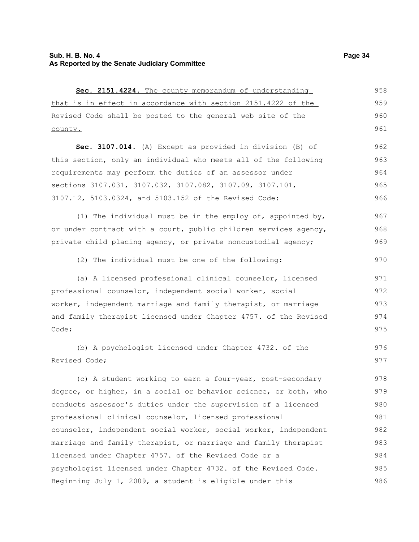| Sec. 2151.4224. The county memorandum of understanding           | 958 |
|------------------------------------------------------------------|-----|
| that is in effect in accordance with section 2151.4222 of the    | 959 |
| Revised Code shall be posted to the general web site of the      | 960 |
| county.                                                          | 961 |
| Sec. 3107.014. (A) Except as provided in division (B) of         | 962 |
| this section, only an individual who meets all of the following  | 963 |
| requirements may perform the duties of an assessor under         | 964 |
| sections 3107.031, 3107.032, 3107.082, 3107.09, 3107.101,        | 965 |
| 3107.12, 5103.0324, and 5103.152 of the Revised Code:            | 966 |
| (1) The individual must be in the employ of, appointed by,       | 967 |
| or under contract with a court, public children services agency, | 968 |
| private child placing agency, or private noncustodial agency;    | 969 |
| (2) The individual must be one of the following:                 | 970 |
| (a) A licensed professional clinical counselor, licensed         | 971 |
| professional counselor, independent social worker, social        | 972 |
| worker, independent marriage and family therapist, or marriage   | 973 |
| and family therapist licensed under Chapter 4757. of the Revised | 974 |
| Code;                                                            | 975 |
| (b) A psychologist licensed under Chapter 4732. of the           | 976 |
| Revised Code;                                                    | 977 |
| (c) A student working to earn a four-year, post-secondary        | 978 |
| degree, or higher, in a social or behavior science, or both, who | 979 |
| conducts assessor's duties under the supervision of a licensed   | 980 |
| professional clinical counselor, licensed professional           | 981 |
| counselor, independent social worker, social worker, independent | 982 |
| marriage and family therapist, or marriage and family therapist  | 983 |
| licensed under Chapter 4757. of the Revised Code or a            | 984 |
| psychologist licensed under Chapter 4732. of the Revised Code.   | 985 |
| Beginning July 1, 2009, a student is eligible under this         | 986 |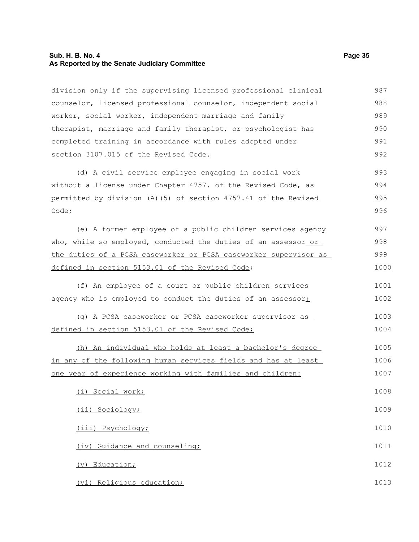#### **Sub. H. B. No. 4 Page 35 As Reported by the Senate Judiciary Committee**

division only if the supervising licensed professional clinical counselor, licensed professional counselor, independent social worker, social worker, independent marriage and family therapist, marriage and family therapist, or psychologist has completed training in accordance with rules adopted under section 3107.015 of the Revised Code. 987 988 989 990 991 992

(d) A civil service employee engaging in social work without a license under Chapter 4757. of the Revised Code, as permitted by division (A)(5) of section 4757.41 of the Revised Code; 993 994 995 996

(e) A former employee of a public children services agency who, while so employed, conducted the duties of an assessor or the duties of a PCSA caseworker or PCSA caseworker supervisor as defined in section 5153.01 of the Revised Code; 997 998 999 1000

(f) An employee of a court or public children services agency who is employed to conduct the duties of an assessor; 1001 1002

(g) A PCSA caseworker or PCSA caseworker supervisor as defined in section 5153.01 of the Revised Code; 1003 1004

| (h) An individual who holds at least a bachelor's degree       | 1005 |
|----------------------------------------------------------------|------|
| in any of the following human services fields and has at least | 1006 |
| one year of experience working with families and children:     | 1007 |

(i) Social work; (ii) Sociology; (iii) Psychology; (iv) Guidance and counseling; (v) Education; (vi) Religious education; 1008 1009 1010 1011 1012 1013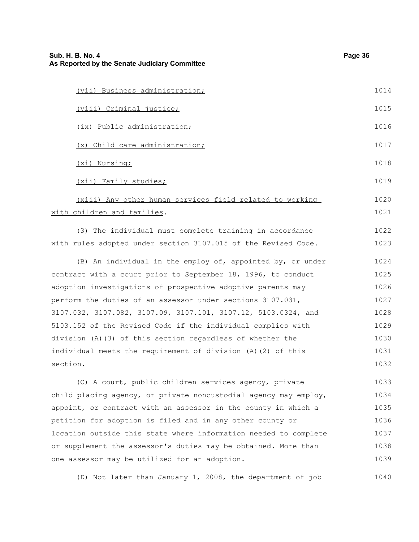| <u>(vii) Business administration;</u>                                                   | 1014         |
|-----------------------------------------------------------------------------------------|--------------|
| (viii) Criminal justice;                                                                | 1015         |
| (ix) Public administration;                                                             | 1016         |
| (x) Child care administration;                                                          | 1017         |
| (xi) Nursing;                                                                           | 1018         |
| (xii) Family studies;                                                                   | 1019         |
| (xiii) Any other human services field related to working<br>with children and families. | 1020<br>1021 |
| (3) The individual must complete training in accordance                                 | 1022         |
| with rules adopted under section 3107.015 of the Revised Code.                          | 1023         |
| (B) An individual in the employ of, appointed by, or under                              | 1024         |
| contract with a court prior to September 18, 1996, to conduct                           | 1025         |
|                                                                                         |              |

adoption investigations of prospective adoptive parents may perform the duties of an assessor under sections 3107.031, 3107.032, 3107.082, 3107.09, 3107.101, 3107.12, 5103.0324, and 5103.152 of the Revised Code if the individual complies with division (A)(3) of this section regardless of whether the individual meets the requirement of division (A)(2) of this section. 1026 1027 1028 1029 1030 1031 1032

(C) A court, public children services agency, private child placing agency, or private noncustodial agency may employ, appoint, or contract with an assessor in the county in which a petition for adoption is filed and in any other county or location outside this state where information needed to complete or supplement the assessor's duties may be obtained. More than one assessor may be utilized for an adoption. 1033 1034 1035 1036 1037 1038 1039

(D) Not later than January 1, 2008, the department of job 1040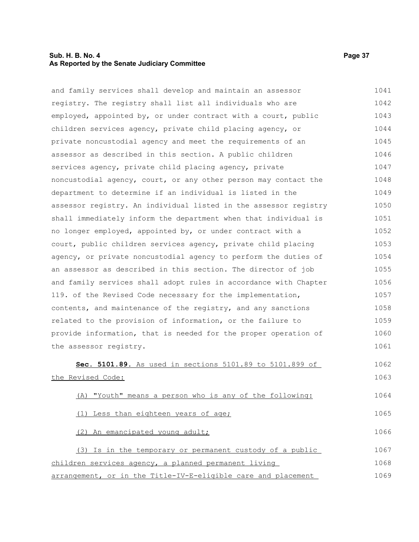### **Sub. H. B. No. 4 Page 37 As Reported by the Senate Judiciary Committee**

| and family services shall develop and maintain an assessor       | 1041 |
|------------------------------------------------------------------|------|
| registry. The registry shall list all individuals who are        | 1042 |
| employed, appointed by, or under contract with a court, public   | 1043 |
| children services agency, private child placing agency, or       | 1044 |
| private noncustodial agency and meet the requirements of an      | 1045 |
| assessor as described in this section. A public children         | 1046 |
| services agency, private child placing agency, private           | 1047 |
| noncustodial agency, court, or any other person may contact the  | 1048 |
| department to determine if an individual is listed in the        | 1049 |
| assessor registry. An individual listed in the assessor registry | 1050 |
| shall immediately inform the department when that individual is  | 1051 |
| no longer employed, appointed by, or under contract with a       | 1052 |
| court, public children services agency, private child placing    | 1053 |
| agency, or private noncustodial agency to perform the duties of  | 1054 |
| an assessor as described in this section. The director of job    | 1055 |
| and family services shall adopt rules in accordance with Chapter | 1056 |
| 119. of the Revised Code necessary for the implementation,       | 1057 |
| contents, and maintenance of the registry, and any sanctions     | 1058 |
| related to the provision of information, or the failure to       | 1059 |
| provide information, that is needed for the proper operation of  | 1060 |
| the assessor registry.                                           | 1061 |
| Sec. 5101.89. As used in sections 5101.89 to 5101.899 of         | 1062 |
| the Revised Code:                                                | 1063 |
|                                                                  |      |
| (A) "Youth" means a person who is any of the following:          | 1064 |
| (1) Less than eighteen years of age;                             | 1065 |
| (2) An emancipated young adult;                                  | 1066 |
| (3) Is in the temporary or permanent custody of a public         | 1067 |
| children services agency, a planned permanent living             | 1068 |
| arrangement, or in the Title-IV-E-eligible care and placement    | 1069 |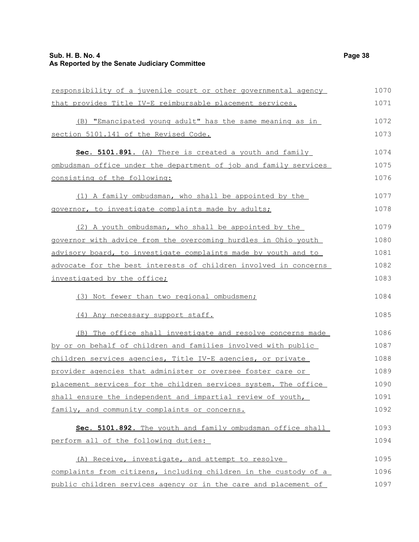### **Sub. H. B. No. 4 Page 38 As Reported by the Senate Judiciary Committee**

| responsibility of a juvenile court or other governmental agency  | 1070 |
|------------------------------------------------------------------|------|
| that provides Title IV-E reimbursable placement services.        | 1071 |
| (B) "Emancipated young adult" has the same meaning as in         | 1072 |
| section 5101.141 of the Revised Code.                            | 1073 |
| Sec. 5101.891. (A) There is created a youth and family           | 1074 |
| ombudsman office under the department of job and family services | 1075 |
| consisting of the following:                                     | 1076 |
| (1) A family ombudsman, who shall be appointed by the            | 1077 |
| governor, to investigate complaints made by adults;              | 1078 |
| (2) A youth ombudsman, who shall be appointed by the             | 1079 |
| governor with advice from the overcoming hurdles in Ohio youth   | 1080 |
| advisory board, to investigate complaints made by youth and to   | 1081 |
| advocate for the best interests of children involved in concerns | 1082 |
| investigated by the office;                                      | 1083 |
| (3) Not fewer than two regional ombudsmen;                       | 1084 |
| (4) Any necessary support staff.                                 | 1085 |
| The office shall investigate and resolve concerns made<br>(B)    | 1086 |
| by or on behalf of children and families involved with public    | 1087 |
| children services agencies, Title IV-E agencies, or private      | 1088 |
| provider agencies that administer or oversee foster care or      | 1089 |
| placement services for the children services system. The office  | 1090 |
| shall ensure the independent and impartial review of youth,      | 1091 |
| family, and community complaints or concerns.                    | 1092 |
| Sec. 5101.892. The youth and family ombudsman office shall       | 1093 |
| perform all of the following duties:                             | 1094 |
| (A) Receive, investigate, and attempt to resolve                 | 1095 |
| complaints from citizens, including children in the custody of a | 1096 |
| public children services agency or in the care and placement of  | 1097 |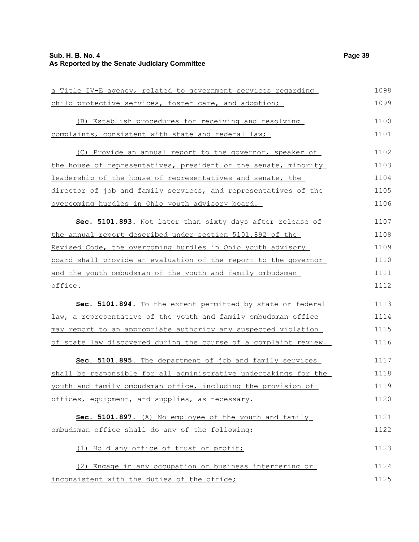| a Title IV-E agency, related to government services regarding    | 1098 |
|------------------------------------------------------------------|------|
| child protective services, foster care, and adoption;            | 1099 |
| (B) Establish procedures for receiving and resolving             | 1100 |
| complaints, consistent with state and federal law;               | 1101 |
| (C) Provide an annual report to the governor, speaker of         | 1102 |
| the house of representatives, president of the senate, minority  | 1103 |
| leadership of the house of representatives and senate, the       | 1104 |
| director of job and family services, and representatives of the  | 1105 |
| overcoming hurdles in Ohio youth advisory board.                 | 1106 |
| Sec. 5101.893. Not later than sixty days after release of        | 1107 |
| the annual report described under section 5101.892 of the        | 1108 |
| Revised Code, the overcoming hurdles in Ohio youth advisory      | 1109 |
| board shall provide an evaluation of the report to the governor  | 1110 |
| and the youth ombudsman of the youth and family ombudsman        | 1111 |
| office.                                                          | 1112 |
| Sec. 5101.894. To the extent permitted by state or federal       | 1113 |
| law, a representative of the youth and family ombudsman office   | 1114 |
| may report to an appropriate authority any suspected violation   | 1115 |
| of state law discovered during the course of a complaint review. | 1116 |
| Sec. 5101.895. The department of job and family services         | 1117 |
| shall be responsible for all administrative undertakings for the | 1118 |
| youth and family ombudsman office, including the provision of    | 1119 |
| offices, equipment, and supplies, as necessary.                  | 1120 |
| Sec. 5101.897. (A) No employee of the youth and family           | 1121 |
| ombudsman office shall do any of the following:                  | 1122 |
| (1) Hold any office of trust or profit;                          | 1123 |
| (2) Engage in any occupation or business interfering or          | 1124 |
| inconsistent with the duties of the office;                      | 1125 |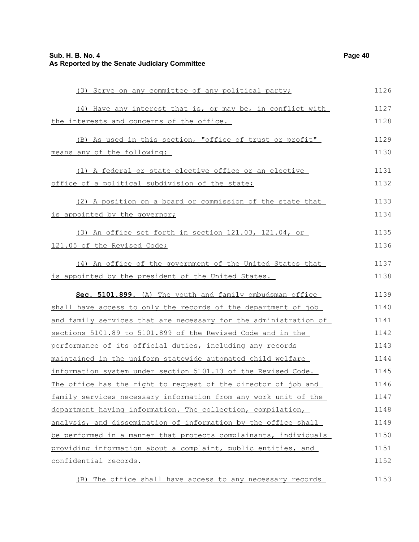| (3) Serve on any committee of any political party;               | 1126 |
|------------------------------------------------------------------|------|
| (4) Have any interest that is, or may be, in conflict with       | 1127 |
| the interests and concerns of the office.                        | 1128 |
| (B) As used in this section, "office of trust or profit"         | 1129 |
| means any of the following:                                      | 1130 |
| (1) A federal or state elective office or an elective            | 1131 |
| office of a political subdivision of the state;                  | 1132 |
| (2) A position on a board or commission of the state that        | 1133 |
| is appointed by the governor;                                    | 1134 |
| (3) An office set forth in section 121.03, 121.04, or            | 1135 |
| 121.05 of the Revised Code;                                      | 1136 |
| (4) An office of the government of the United States that        | 1137 |
| is appointed by the president of the United States.              | 1138 |
| Sec. 5101.899. (A) The youth and family ombudsman office         | 1139 |
| shall have access to only the records of the department of job   | 1140 |
| and family services that are necessary for the administration of | 1141 |
| sections 5101.89 to 5101.899 of the Revised Code and in the      | 1142 |
| performance of its official duties, including any records        | 1143 |
| maintained in the uniform statewide automated child welfare      | 1144 |
| information system under section 5101.13 of the Revised Code.    | 1145 |
| The office has the right to request of the director of job and   | 1146 |
| family services necessary information from any work unit of the  | 1147 |
| department having information. The collection, compilation,      | 1148 |
| analysis, and dissemination of information by the office shall   | 1149 |
| be performed in a manner that protects complainants, individuals | 1150 |
| providing information about a complaint, public entities, and    | 1151 |
| confidential records.                                            | 1152 |
| The office shall have access to any necessary records<br>(B)     | 1153 |